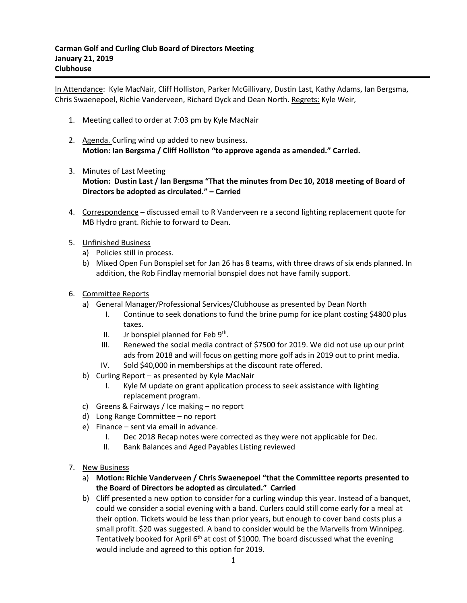In Attendance: Kyle MacNair, Cliff Holliston, Parker McGillivary, Dustin Last, Kathy Adams, Ian Bergsma, Chris Swaenepoel, Richie Vanderveen, Richard Dyck and Dean North. Regrets: Kyle Weir,

- 1. Meeting called to order at 7:03 pm by Kyle MacNair
- 2. Agenda. Curling wind up added to new business. **Motion: Ian Bergsma / Cliff Holliston "to approve agenda as amended." Carried.**
- 3. Minutes of Last Meeting **Motion: Dustin Last / Ian Bergsma "That the minutes from Dec 10, 2018 meeting of Board of Directors be adopted as circulated." – Carried**
- 4. Correspondence discussed email to R Vanderveen re a second lighting replacement quote for MB Hydro grant. Richie to forward to Dean.
- 5. Unfinished Business
	- a) Policies still in process.
	- b) Mixed Open Fun Bonspiel set for Jan 26 has 8 teams, with three draws of six ends planned. In addition, the Rob Findlay memorial bonspiel does not have family support.
- 6. Committee Reports
	- a) General Manager/Professional Services/Clubhouse as presented by Dean North
		- I. Continue to seek donations to fund the brine pump for ice plant costing \$4800 plus taxes.
		- II. Jr bonspiel planned for Feb  $9<sup>th</sup>$ .
		- III. Renewed the social media contract of \$7500 for 2019. We did not use up our print ads from 2018 and will focus on getting more golf ads in 2019 out to print media.
		- IV. Sold \$40,000 in memberships at the discount rate offered.
	- b) Curling Report as presented by Kyle MacNair
		- I. Kyle M update on grant application process to seek assistance with lighting replacement program.
	- c) Greens & Fairways / Ice making no report
	- d) Long Range Committee no report
	- e) Finance sent via email in advance.
		- I. Dec 2018 Recap notes were corrected as they were not applicable for Dec.
		- II. Bank Balances and Aged Payables Listing reviewed
- 7. New Business
	- a) **Motion: Richie Vanderveen / Chris Swaenepoel "that the Committee reports presented to the Board of Directors be adopted as circulated." Carried**
	- b) Cliff presented a new option to consider for a curling windup this year. Instead of a banquet, could we consider a social evening with a band. Curlers could still come early for a meal at their option. Tickets would be less than prior years, but enough to cover band costs plus a small profit. \$20 was suggested. A band to consider would be the Marvells from Winnipeg. Tentatively booked for April  $6<sup>th</sup>$  at cost of \$1000. The board discussed what the evening would include and agreed to this option for 2019.